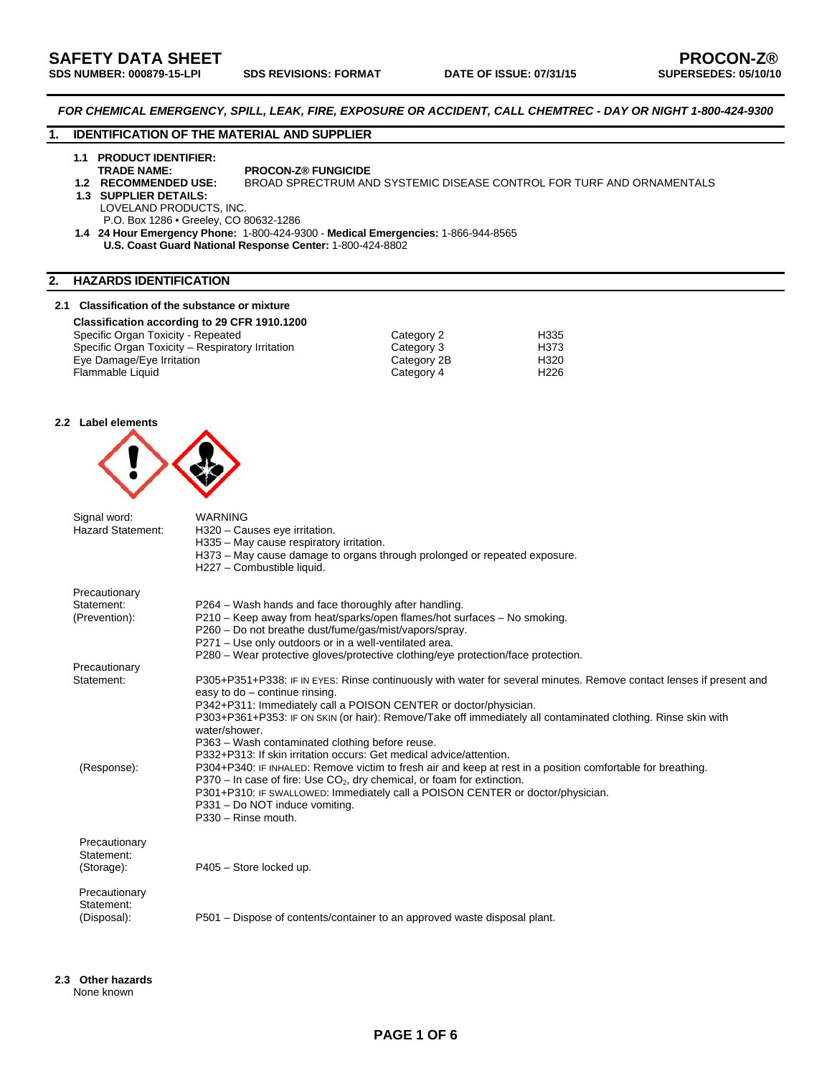*FOR CHEMICAL EMERGENCY, SPILL, LEAK, FIRE, EXPOSURE OR ACCIDENT, CALL CHEMTREC - DAY OR NIGHT 1-800-424-9300* 

# **1. IDENTIFICATION OF THE MATERIAL AND SUPPLIER**

# **1.1 PRODUCT IDENTIFIER:**

**TRADE NAME:** PROCON-Z® FUNGICIDE<br>1.2 RECOMMENDED USE: BROAD SPRECTRUM AN

#### **BROAD SPRECTRUM AND SYSTEMIC DISEASE CONTROL FOR TURF AND ORNAMENTALS**

 **1.3 SUPPLIER DETAILS:** 

LOVELAND PRODUCTS, INC.

P.O. Box 1286 • Greeley, CO 80632-1286

 **1.4 24 Hour Emergency Phone:** 1-800-424-9300 - **Medical Emergencies:** 1-866-944-8565 **U.S. Coast Guard National Response Center:** 1-800-424-8802

# **2. HAZARDS IDENTIFICATION**

## **2.1 Classification of the substance or mixture**

**Classification according to 29 CFR 1910.1200** 

| Specific Organ Toxicity - Repeated               | Category 2  | H335 |
|--------------------------------------------------|-------------|------|
| Specific Organ Toxicity - Respiratory Irritation | Category 3  | H373 |
| Eye Damage/Eye Irritation                        | Category 2B | H320 |
| Flammable Liquid                                 | Category 4  | H226 |
|                                                  |             |      |

### **2.2 Label elements**



| Signal word:<br><b>Hazard Statement:</b>     | <b>WARNING</b><br>H320 - Causes eye irritation.<br>H335 - May cause respiratory irritation.<br>H373 – May cause damage to organs through prolonged or repeated exposure.<br>H227 - Combustible liquid.                                                                                                                                                                                                                                                                                                                                                                                                                                                                                                                                                                                                                     |
|----------------------------------------------|----------------------------------------------------------------------------------------------------------------------------------------------------------------------------------------------------------------------------------------------------------------------------------------------------------------------------------------------------------------------------------------------------------------------------------------------------------------------------------------------------------------------------------------------------------------------------------------------------------------------------------------------------------------------------------------------------------------------------------------------------------------------------------------------------------------------------|
| Precautionary<br>Statement:<br>(Prevention): | P264 - Wash hands and face thoroughly after handling.<br>P210 – Keep away from heat/sparks/open flames/hot surfaces – No smoking.<br>P260 - Do not breathe dust/fume/gas/mist/vapors/spray.<br>P271 - Use only outdoors or in a well-ventilated area.<br>P280 – Wear protective gloves/protective clothing/eye protection/face protection.                                                                                                                                                                                                                                                                                                                                                                                                                                                                                 |
| Precautionary                                |                                                                                                                                                                                                                                                                                                                                                                                                                                                                                                                                                                                                                                                                                                                                                                                                                            |
| Statement:<br>(Response):                    | P305+P351+P338: IF IN EYES: Rinse continuously with water for several minutes. Remove contact lenses if present and<br>easy to do - continue rinsing.<br>P342+P311: Immediately call a POISON CENTER or doctor/physician.<br>P303+P361+P353: IF ON SKIN (or hair): Remove/Take off immediately all contaminated clothing. Rinse skin with<br>water/shower.<br>P363 - Wash contaminated clothing before reuse.<br>P332+P313: If skin irritation occurs: Get medical advice/attention.<br>P304+P340: IF INHALED: Remove victim to fresh air and keep at rest in a position comfortable for breathing.<br>$P370 - In case of fire: Use CO2, dry chemical, or foam for extinction.$<br>P301+P310: IF SWALLOWED: Immediately call a POISON CENTER or doctor/physician.<br>P331 - Do NOT induce vomiting.<br>P330 - Rinse mouth. |
| Precautionary<br>Statement:<br>(Storage):    | P405 - Store locked up.                                                                                                                                                                                                                                                                                                                                                                                                                                                                                                                                                                                                                                                                                                                                                                                                    |
| Precautionary<br>Statement:<br>(Disposal):   | P501 – Dispose of contents/container to an approved waste disposal plant.                                                                                                                                                                                                                                                                                                                                                                                                                                                                                                                                                                                                                                                                                                                                                  |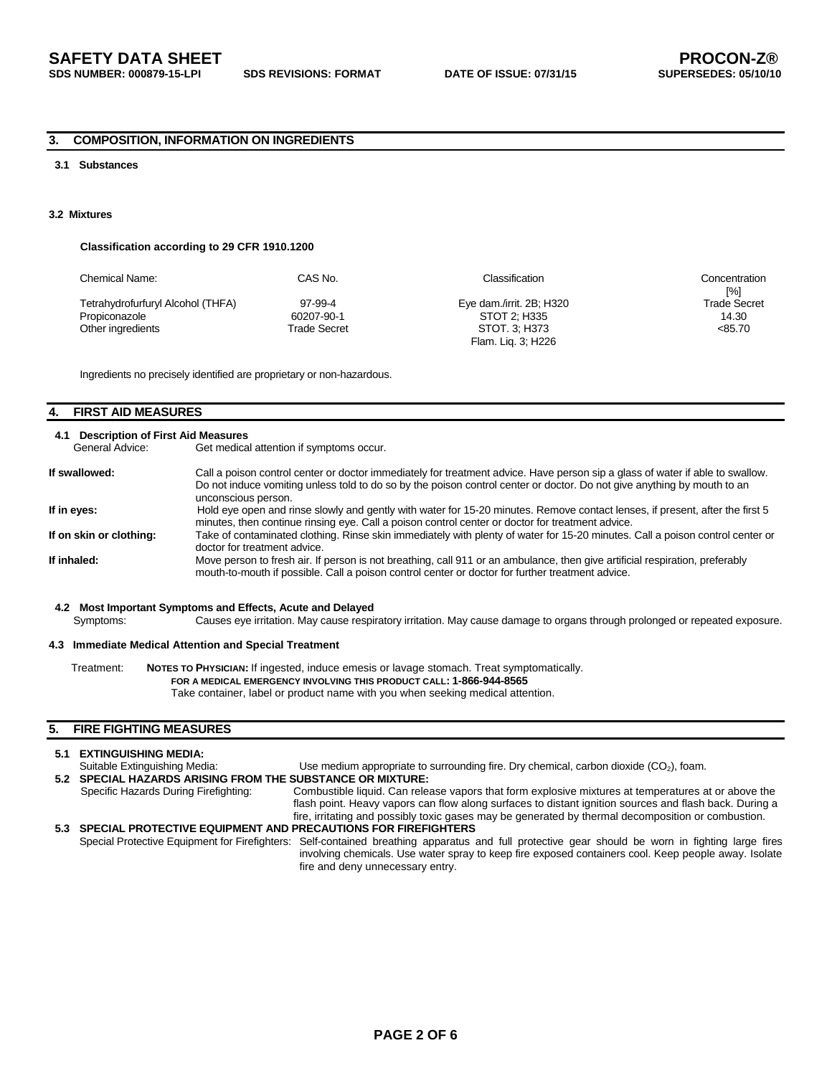## **3. COMPOSITION, INFORMATION ON INGREDIENTS**

# **3.1 Substances**

#### **3.2 Mixtures**

## **Classification according to 29 CFR 1910.1200**

| Chemical Name:                                     | CAS No.               | Classification                           | Concentration<br>[%]         |
|----------------------------------------------------|-----------------------|------------------------------------------|------------------------------|
| Tetrahydrofurfuryl Alcohol (THFA)<br>Propiconazole | 97-99-4<br>60207-90-1 | Eye dam./irrit. 2B; H320<br>STOT 2: H335 | <b>Trade Secret</b><br>14.30 |
| Other ingredients                                  | Trade Secret          | STOT. 3: H373<br>Flam. Lig. 3; H226      | < 85.70                      |

Ingredients no precisely identified are proprietary or non-hazardous.

# **4. FIRST AID MEASURES**

## **4.1 Description of First Aid Measures**

General Advice: Get medical attention if symptoms occur.

| If swallowed:           | Call a poison control center or doctor immediately for treatment advice. Have person sip a glass of water if able to swallow.<br>Do not induce vomiting unless told to do so by the poison control center or doctor. Do not give anything by mouth to an<br>unconscious person. |
|-------------------------|---------------------------------------------------------------------------------------------------------------------------------------------------------------------------------------------------------------------------------------------------------------------------------|
| If in eyes:             | Hold eye open and rinse slowly and gently with water for 15-20 minutes. Remove contact lenses, if present, after the first 5<br>minutes, then continue rinsing eye. Call a poison control center or doctor for treatment advice.                                                |
| If on skin or clothing: | Take of contaminated clothing. Rinse skin immediately with plenty of water for 15-20 minutes. Call a poison control center or<br>doctor for treatment advice.                                                                                                                   |
| If inhaled:             | Move person to fresh air. If person is not breathing, call 911 or an ambulance, then give artificial respiration, preferably<br>mouth-to-mouth if possible. Call a poison control center or doctor for further treatment advice.                                                |

# **4.2 Most Important Symptoms and Effects, Acute and Delayed**

Causes eye irritation. May cause respiratory irritation. May cause damage to organs through prolonged or repeated exposure.

#### **4.3 Immediate Medical Attention and Special Treatment**

Treatment: **NOTES TO PHYSICIAN:** If ingested, induce emesis or lavage stomach. Treat symptomatically.  **FOR A MEDICAL EMERGENCY INVOLVING THIS PRODUCT CALL: 1-866-944-8565**  Take container, label or product name with you when seeking medical attention.

## **5. FIRE FIGHTING MEASURES**

| 5.1 EXTINGUISHING MEDIA:                                          |                                                                                                                                                   |
|-------------------------------------------------------------------|---------------------------------------------------------------------------------------------------------------------------------------------------|
| Suitable Extinguishing Media:                                     | Use medium appropriate to surrounding fire. Dry chemical, carbon dioxide $(CO2)$ , foam.                                                          |
| 5.2 SPECIAL HAZARDS ARISING FROM THE SUBSTANCE OR MIXTURE:        |                                                                                                                                                   |
| Specific Hazards During Firefighting:                             | Combustible liquid. Can release vapors that form explosive mixtures at temperatures at or above the                                               |
|                                                                   | flash point. Heavy vapors can flow along surfaces to distant ignition sources and flash back. During a                                            |
|                                                                   | fire, irritating and possibly toxic gases may be generated by thermal decomposition or combustion.                                                |
| 5.3 SPECIAL PROTECTIVE EQUIPMENT AND PRECAUTIONS FOR FIREFIGHTERS |                                                                                                                                                   |
|                                                                   | Special Protective Equipment for Firefighters: Self-contained breathing apparatus and full protective gear should be worn in fighting large fires |
|                                                                   | involving chemicals. Use water spray to keep fire exposed containers cool. Keep people away. Isolate                                              |
|                                                                   | fire and deny unnecessary entry.                                                                                                                  |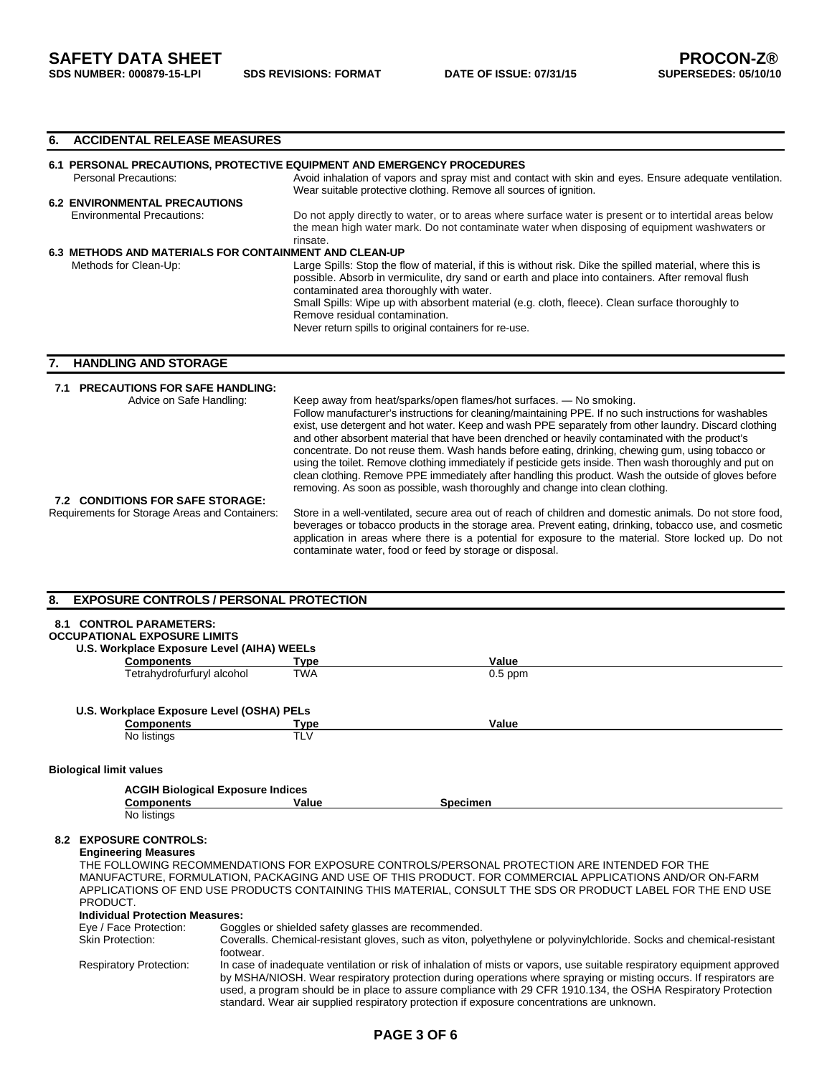## **6. ACCIDENTAL RELEASE MEASURES**

| 6.1 PERSONAL PRECAUTIONS, PROTECTIVE EQUIPMENT AND EMERGENCY PROCEDURES |                                                                                                                                                                                                                                                                                                                                                                                                                                                            |  |  |
|-------------------------------------------------------------------------|------------------------------------------------------------------------------------------------------------------------------------------------------------------------------------------------------------------------------------------------------------------------------------------------------------------------------------------------------------------------------------------------------------------------------------------------------------|--|--|
| Personal Precautions:                                                   | Avoid inhalation of vapors and spray mist and contact with skin and eyes. Ensure adequate ventilation.                                                                                                                                                                                                                                                                                                                                                     |  |  |
|                                                                         | Wear suitable protective clothing. Remove all sources of ignition.                                                                                                                                                                                                                                                                                                                                                                                         |  |  |
| <b>6.2 ENVIRONMENTAL PRECAUTIONS</b>                                    |                                                                                                                                                                                                                                                                                                                                                                                                                                                            |  |  |
| <b>Environmental Precautions:</b>                                       | Do not apply directly to water, or to areas where surface water is present or to intertidal areas below<br>the mean high water mark. Do not contaminate water when disposing of equipment washwaters or<br>rinsate.                                                                                                                                                                                                                                        |  |  |
| <b>6.3 METHODS AND MATERIALS FOR CONTAINMENT AND CLEAN-UP</b>           |                                                                                                                                                                                                                                                                                                                                                                                                                                                            |  |  |
| Methods for Clean-Up:                                                   | Large Spills: Stop the flow of material, if this is without risk. Dike the spilled material, where this is<br>possible. Absorb in vermiculite, dry sand or earth and place into containers. After removal flush<br>contaminated area thoroughly with water.<br>Small Spills: Wipe up with absorbent material (e.g. cloth, fleece). Clean surface thoroughly to<br>Remove residual contamination.<br>Never return spills to original containers for re-use. |  |  |

# **7. HANDLING AND STORAGE**

# **7.1 PRECAUTIONS FOR SAFE HANDLING:**

| Advice on Safe Handling:                       | Keep away from heat/sparks/open flames/hot surfaces. - No smoking.                                                                                                                                                                                                                                                                                                                                      |
|------------------------------------------------|---------------------------------------------------------------------------------------------------------------------------------------------------------------------------------------------------------------------------------------------------------------------------------------------------------------------------------------------------------------------------------------------------------|
|                                                | Follow manufacturer's instructions for cleaning/maintaining PPE. If no such instructions for washables                                                                                                                                                                                                                                                                                                  |
|                                                | exist, use detergent and hot water. Keep and wash PPE separately from other laundry. Discard clothing<br>and other absorbent material that have been drenched or heavily contaminated with the product's                                                                                                                                                                                                |
|                                                | concentrate. Do not reuse them. Wash hands before eating, drinking, chewing gum, using tobacco or<br>using the toilet. Remove clothing immediately if pesticide gets inside. Then wash thoroughly and put on<br>clean clothing. Remove PPE immediately after handling this product. Wash the outside of gloves before<br>removing. As soon as possible, wash thoroughly and change into clean clothing. |
| 7.2 CONDITIONS FOR SAFE STORAGE:               |                                                                                                                                                                                                                                                                                                                                                                                                         |
| Requirements for Storage Areas and Containers: | Store in a well-ventilated, secure area out of reach of children and domestic animals. Do not store food,<br>beverages or tobacco products in the storage area. Prevent eating, drinking, tobacco use, and cosmetic<br>application in areas where there is a potential for exposure to the material. Store locked up. Do not                                                                            |

contaminate water, food or feed by storage or disposal.

## **8. EXPOSURE CONTROLS / PERSONAL PROTECTION**

| 8.1 | <b>CONTROL PARAMETERS:</b>                                      |                                                     |                                                                                                                      |
|-----|-----------------------------------------------------------------|-----------------------------------------------------|----------------------------------------------------------------------------------------------------------------------|
|     | <b>OCCUPATIONAL EXPOSURE LIMITS</b>                             |                                                     |                                                                                                                      |
|     | U.S. Workplace Exposure Level (AIHA) WEELs<br><b>Components</b> |                                                     | Value                                                                                                                |
|     | Tetrahydrofurfuryl alcohol                                      | Tvpe<br><b>TWA</b>                                  | $0.5$ ppm                                                                                                            |
|     |                                                                 |                                                     |                                                                                                                      |
|     |                                                                 |                                                     |                                                                                                                      |
|     | U.S. Workplace Exposure Level (OSHA) PELs                       |                                                     |                                                                                                                      |
|     | <b>Components</b>                                               | Type                                                | Value                                                                                                                |
|     | No listings                                                     | <b>TLV</b>                                          |                                                                                                                      |
|     |                                                                 |                                                     |                                                                                                                      |
|     | <b>Biological limit values</b>                                  |                                                     |                                                                                                                      |
|     |                                                                 | <b>ACGIH Biological Exposure Indices</b>            |                                                                                                                      |
|     | <b>Components</b>                                               | Value                                               | <b>Specimen</b>                                                                                                      |
|     | No listings                                                     |                                                     |                                                                                                                      |
|     |                                                                 |                                                     |                                                                                                                      |
|     | 8.2 EXPOSURE CONTROLS:                                          |                                                     |                                                                                                                      |
|     | <b>Engineering Measures</b>                                     |                                                     |                                                                                                                      |
|     |                                                                 |                                                     | THE FOLLOWING RECOMMENDATIONS FOR EXPOSURE CONTROLS/PERSONAL PROTECTION ARE INTENDED FOR THE                         |
|     |                                                                 |                                                     | MANUFACTURE, FORMULATION, PACKAGING AND USE OF THIS PRODUCT. FOR COMMERCIAL APPLICATIONS AND/OR ON-FARM              |
|     |                                                                 |                                                     | APPLICATIONS OF END USE PRODUCTS CONTAINING THIS MATERIAL, CONSULT THE SDS OR PRODUCT LABEL FOR THE END USE          |
|     | PRODUCT.                                                        |                                                     |                                                                                                                      |
|     | <b>Individual Protection Measures:</b>                          |                                                     |                                                                                                                      |
|     | Eye / Face Protection:                                          | Goggles or shielded safety glasses are recommended. |                                                                                                                      |
|     | <b>Skin Protection:</b>                                         |                                                     | Coveralls. Chemical-resistant gloves, such as viton, polyethylene or polyvinylchloride. Socks and chemical-resistant |
|     |                                                                 | footwear.                                           |                                                                                                                      |

Respiratory Protection: In case of inadequate ventilation or risk of inhalation of mists or vapors, use suitable respiratory equipment approved by MSHA/NIOSH. Wear respiratory protection during operations where spraying or misting occurs. If respirators are used, a program should be in place to assure compliance with 29 CFR 1910.134, the OSHA Respiratory Protection standard. Wear air supplied respiratory protection if exposure concentrations are unknown.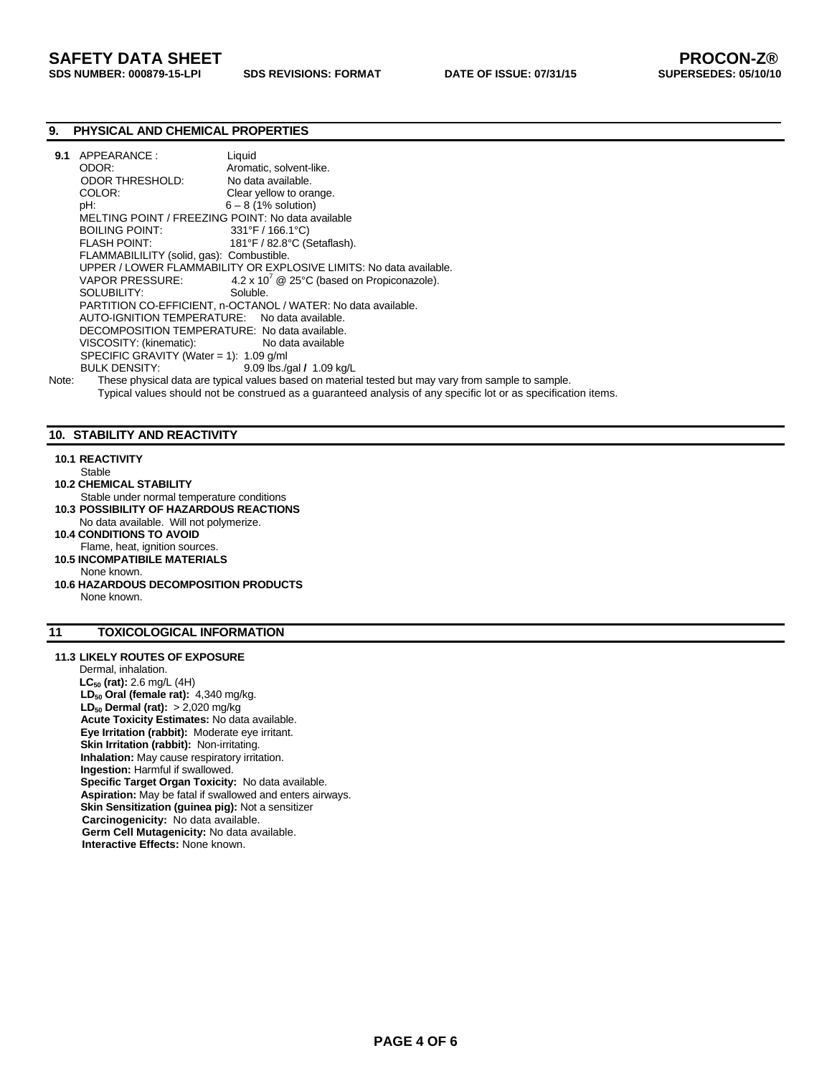# **9. PHYSICAL AND CHEMICAL PROPERTIES**

| 9.1   | APPEARANCE:                                       | Liquid                                                                                                         |
|-------|---------------------------------------------------|----------------------------------------------------------------------------------------------------------------|
|       | ODOR:                                             | Aromatic, solvent-like.                                                                                        |
|       | ODOR THRESHOLD:                                   | No data available.                                                                                             |
|       | COLOR:                                            | Clear yellow to orange.                                                                                        |
|       | pH:                                               | $6 - 8$ (1% solution)                                                                                          |
|       | MELTING POINT / FREEZING POINT: No data available |                                                                                                                |
|       | BOILING POINT: 331°F / 166.1°C)                   |                                                                                                                |
|       |                                                   | 181°F / 82.8°C (Setaflash).                                                                                    |
|       | FLAMMABILILITY (solid, gas): Combustible.         |                                                                                                                |
|       |                                                   | UPPER / LOWER FLAMMABILITY OR EXPLOSIVE LIMITS: No data available.                                             |
|       |                                                   | VAPOR PRESSURE: 4.2 x 10 <sup>'</sup> @ 25°C (based on Propiconazole).                                         |
|       | SOLUBILITY:                                       | Soluble.                                                                                                       |
|       |                                                   | PARTITION CO-EFFICIENT, n-OCTANOL / WATER: No data available.                                                  |
|       | AUTO-IGNITION TEMPERATURE: No data available.     |                                                                                                                |
|       | DECOMPOSITION TEMPERATURE: No data available.     |                                                                                                                |
|       | VISCOSITY: (kinematic):                           | No data available                                                                                              |
|       | SPECIFIC GRAVITY (Water = 1): $1.09$ g/ml         |                                                                                                                |
|       | BULK DENSITY:                                     | 9.09 lbs./gal / 1.09 kg/L                                                                                      |
| Note: |                                                   | These physical data are typical values based on material tested but may vary from sample to sample.            |
|       |                                                   | Typical values should not be construed as a guaranteed analysis of any specific lot or as specification items. |

## **10. STABILITY AND REACTIVITY**

#### **10.1 REACTIVITY**

Stable

- **10.2 CHEMICAL STABILITY**
- Stable under normal temperature conditions **10.3 POSSIBILITY OF HAZARDOUS REACTIONS**
- No data available. Will not polymerize.
- **10.4 CONDITIONS TO AVOID**
- Flame, heat, ignition sources.  **10.5 INCOMPATIBILE MATERIALS**
- None known.
- **10.6 HAZARDOUS DECOMPOSITION PRODUCTS**  None known.

# **11 TOXICOLOGICAL INFORMATION**

# **11.3 LIKELY ROUTES OF EXPOSURE**

Dermal, inhalation. **LC50 (rat):** 2.6 mg/L (4H) LD<sub>50</sub> Oral (female rat): 4,340 mg/kg. **LD<sub>50</sub> Dermal (rat):** > 2,020 mg/kg **Acute Toxicity Estimates:** No data available. **Eye Irritation (rabbit):** Moderate eye irritant. **Skin Irritation (rabbit):** Non-irritating. **Inhalation:** May cause respiratory irritation. **Ingestion:** Harmful if swallowed. **Specific Target Organ Toxicity:** No data available. **Aspiration:** May be fatal if swallowed and enters airways. **Skin Sensitization (guinea pig):** Not a sensitizer  **Carcinogenicity:** No data available. **Germ Cell Mutagenicity:** No data available. **Interactive Effects:** None known.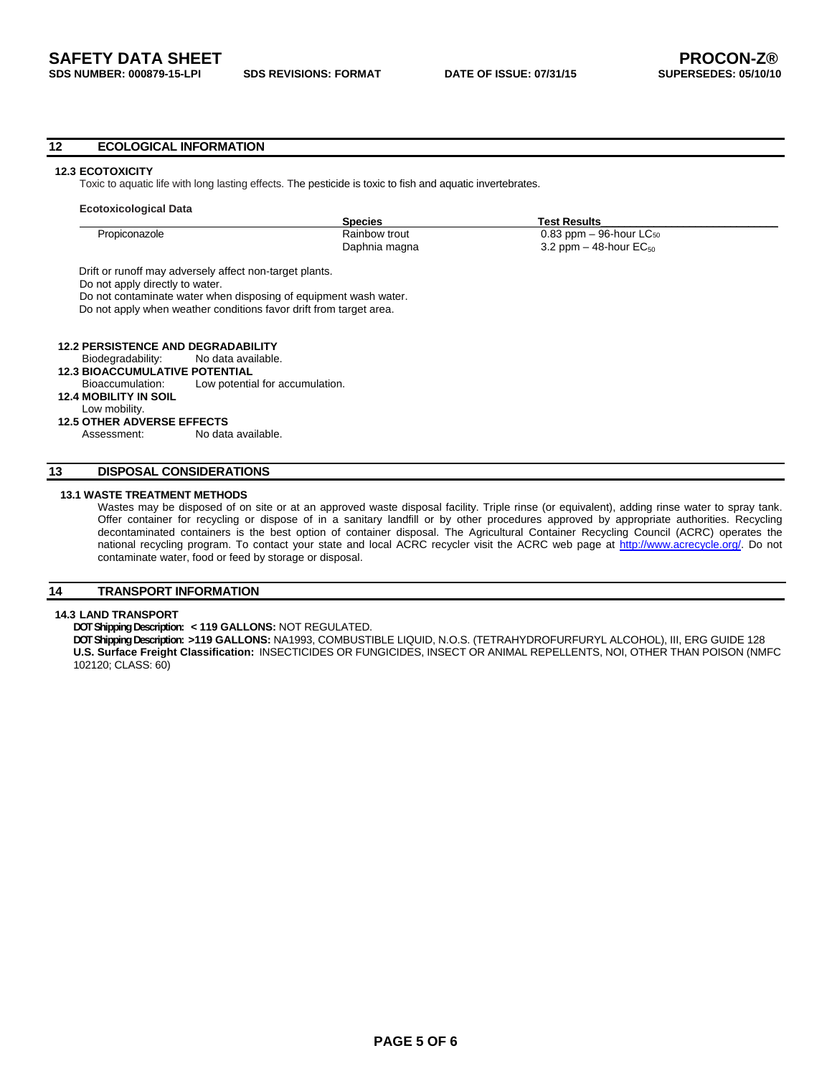#### **12 ECOLOGICAL INFORMATION**

#### **12.3 ECOTOXICITY**

Toxic to aquatic life with long lasting effects. The pesticide is toxic to fish and aquatic invertebrates.

|                                       |                                                                    | <b>Species</b> | Test Results                            |  |
|---------------------------------------|--------------------------------------------------------------------|----------------|-----------------------------------------|--|
| Propiconazole                         |                                                                    | Rainbow trout  | $0.83$ ppm $-96$ -hour LC <sub>50</sub> |  |
|                                       |                                                                    | Daphnia magna  | 3.2 ppm $-$ 48-hour EC <sub>50</sub>    |  |
|                                       | Drift or runoff may adversely affect non-target plants.            |                |                                         |  |
| Do not apply directly to water.       |                                                                    |                |                                         |  |
|                                       | Do not contaminate water when disposing of equipment wash water.   |                |                                         |  |
|                                       |                                                                    |                |                                         |  |
|                                       |                                                                    |                |                                         |  |
|                                       | Do not apply when weather conditions favor drift from target area. |                |                                         |  |
|                                       |                                                                    |                |                                         |  |
|                                       | <b>12.2 PERSISTENCE AND DEGRADABILITY</b>                          |                |                                         |  |
| Biodegradability:                     | No data available.                                                 |                |                                         |  |
| <b>12.3 BIOACCUMULATIVE POTENTIAL</b> |                                                                    |                |                                         |  |
| Bioaccumulation:                      | Low potential for accumulation.                                    |                |                                         |  |
| <b>12.4 MOBILITY IN SOIL</b>          |                                                                    |                |                                         |  |
| Low mobility.                         |                                                                    |                |                                         |  |

Assessment: No data available.

# **13 DISPOSAL CONSIDERATIONS**

### **13.1 WASTE TREATMENT METHODS**

Wastes may be disposed of on site or at an approved waste disposal facility. Triple rinse (or equivalent), adding rinse water to spray tank. Offer container for recycling or dispose of in a sanitary landfill or by other procedures approved by appropriate authorities. Recycling decontaminated containers is the best option of container disposal. The Agricultural Container Recycling Council (ACRC) operates the national recycling program. To contact your state and local ACRC recycler visit the ACRC web page at http://www.acrecycle.org/. Do not contaminate water, food or feed by storage or disposal.

### **14 TRANSPORT INFORMATION**

# **14.3 LAND TRANSPORT**

**DOT Shipping Description: < 119 GALLONS:** NOT REGULATED.

**DOT Shipping Description: >119 GALLONS:** NA1993, COMBUSTIBLE LIQUID, N.O.S. (TETRAHYDROFURFURYL ALCOHOL), III, ERG GUIDE 128 **U.S. Surface Freight Classification:** INSECTICIDES OR FUNGICIDES, INSECT OR ANIMAL REPELLENTS, NOI, OTHER THAN POISON (NMFC 102120; CLASS: 60)